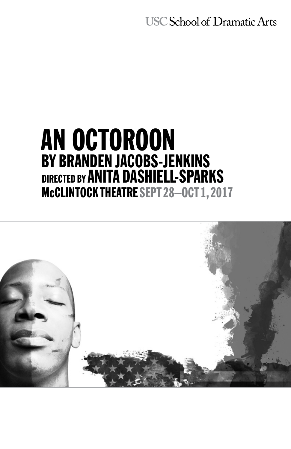**USC School of Dramatic Arts** 

# AN OCTOROON BY BRANDEN JACOBS-JENKINS DIRECTED BY ANITA DASHIELL-SPARKS McCLINTOCK THEATRE SEPT 28-0CT 1, 2017

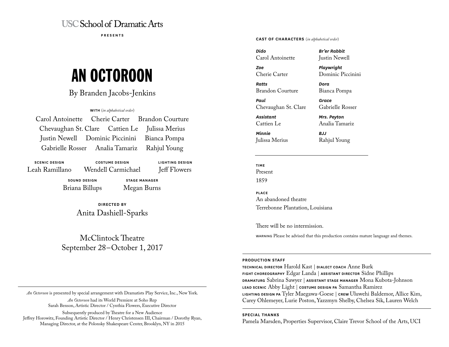# **USC School of Dramatic Arts**

**PRESENTS**

# AN OCTOROON

## By Branden Jacobs-Jenkins

**WITH** (*in alphabetical order*)

|  | Carol Antoinette Cherie Carter Brandon Courture |
|--|-------------------------------------------------|
|  | Chevaughan St. Clare Cattien Le Julissa Merius  |
|  | Justin Newell Dominic Piccinini Bianca Pompa    |
|  | Gabrielle Rosser Analia Tamariz Rahjul Young    |

**SCENIC DESIGN** Leah Ramillano

**COSTUME DESIGN** Wendell Carmichael **LIGHTING DESIGN** Jeff Flowers

**SOUND DESIGN** Briana Billups

**STAGE MANAGER** Megan Burns

**DIRECTED BY** Anita Dashiell-Sparks

# McClintock Theatre September 28–October 1, 2017

*An Octoroon* is presented by special arrangement with Dramatists Play Service, Inc., New York. *An Octoroon* had its World Premiere at Soho Rep

Sarah Benson, Artistic Director / Cynthia Flowers, Executive Director

Subsequently produced by Theatre for a New Audience Jeffrey Horowitz, Founding Artistic Director / Henry Christensen III, Chairman / Dorothy Ryan, Managing Director, at the Polonsky Shakespeare Center, Brooklyn, NY in 2015

#### **CAST OF CHARACTERS** (*in alphabetical order*)

*Dido* Carol Antoinette

*Zoe* Cherie Carter

*Ratts* Brandon Courture

*Paul* Chevaughan St. Clare

*Assistant* Cattien Le

*Minnie* Julissa Merius Justin Newell *Playwright*

*Br'er Rabbit*

Dominic Piccinini

Bianca Pompa

*Dora*

*Grace* Gabrielle Rosser

*Mrs. Peyton* Analia Tamariz

*BJJ* Rahjul Young

# **TIME**

Present 1859

**PLACE** An abandoned theatre Terrebonne Plantation, Louisiana

There will be no intermission.

WARNING Please be advised that this production contains mature language and themes.

#### **PRODUCTION STAFF**

**TECHNICAL DIRECTOR** Harold Kast | **DIALECT COACH** Anne Burk **FIGHT CHOREOGRAPHY** Edgar Landa | **ASSISTANT DIRECTOR** Sidne Phillips **DRAMATURG** Sabrina Sawyer | **ASSISTANT STAGE MANAGER** Mona Kubota-Johnson **LEAD SCENIC** Abby Light | **COSTUME DESIGN PA** Samantha Ramirez **LIGHTING DESIGN PA** Tyler Maegawa-Goese | **CREW** Uluwehi Baldemor, Allice Kim, Carey Ohlemeyer, Lurie Poston, Yazzmyn Shelby, Chelsea Sik, Lauren Welch

#### **SPECIAL THANKS**

Pamela Marsden, Properties Supervisor, Claire Trevor School of the Arts, UCI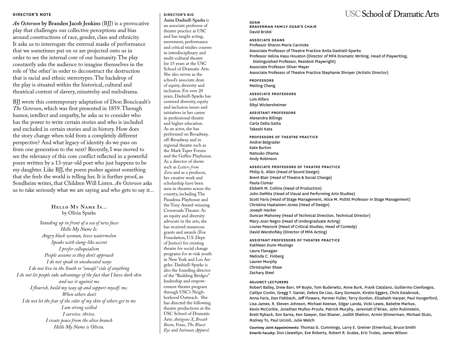#### **DIRECTOR'S NOTE**

*An Octoroon* **by Branden Jacob Jenkins** (BJJ) is a provocative play that challenges our collective perceptions and bias around constructions of race, gender, class and ethnicity. It asks us to interrogate the external masks of performance that we sometimes put on or are projected onto us in order to see the internal core of our humanity. The play constantly asks the audience to imagine themselves in the role of 'the other' in order to deconstruct the destruction that is racial and ethnic stereotypes. The backdrop of the play is situated within the historical, cultural and theatrical context of slavery, minstrelsy and melodrama.

BJJ wrote this contemporary adaptation of Dion Boucicault's *The Octoroon*, which was first presented in 1859. Through humor, intellect and empathy, he asks us to consider who has the power to write certain stories and who is included and excluded in certain stories and in history. How does the story change when told from a completely different perspective? And what legacy of identity do we pass on from one generation to the next? Recently, I was moved to see the relevancy of this core conflict reflected in a powerful poem written by a 13-year-old poet who just happens to be my daughter. Like BJJ, the poem pushes against something that she feels the world is telling her. It is further proof, as Sondheim writes, that Children Will Listen. *An Octoroon* asks us to take seriously what we are saying and who gets to say it...

> **Hello My Name Is...** by Olivia Sparks

*Standing up in front of a sea of new faces Hello My Name Is: Angry black woman, loves watermelon Speaks with slang-like accent I prefer colloquialism People assume so they don't approach I do not speak in uneducated ways I do not live in the South or "unsafe" side of anything I do not let people take advantage of the fact that I have dark skin and use it against me I flourish, build my way up and support myself. me. When others don't I do not let the fear of the color of my skin of others get to me I am strong willed I survive. thrive. I create peace from the olive branch Hello My Name is Olivia.*

#### **DIRECTOR'S BIO**

**Anita Dashiell-Sparks** is an associate professor of theatre practice at USC and has taught acting, movement, performance and critical studies courses in interdisciplinary and multi-cultural theatre for 15 years at the USC School of Dramatic Arts. She also serves as the school's associate dean of equity, diversity and inclusion. For over 20 years, Dashiell-Sparks has centered diversity, equity and inclusion issues and initiatives in her career in professional theatre and higher education. As an actor, she has performed on Broadway, off-Broadway and in regional theatre such as the Mark Taper Forum and the Geffen Playhouse. As a director of shows such as *Letters from Zora* and as a producer, her creative work and scholarship have been seen in theatres across the country, including The Pasadena Playhouse and the Tony Award-winning Crossroads Theater. As an equity and diversity advocate in the arts, she has received numerous grants and awards (Fox Foundation, U.S. Dept. of Justice) for creating theatre for social change programs for at-risk youth in New York and Los Angeles. Dashiell-Sparks is also the founding director of the "Building Bridges" leadership and empowerment theatre program through USC's Neighborhood Outreach. She has directed the following theatre productions at the USC School of Dramatic Arts: *Antigone X*, *Breath Boom*, *Venus*, *The Bluest Eye* and *Intimate Apparel*.

#### **DEAN BRAVERMAN FAMILY DEAN'S CHAIR** David Bridel

**ASSOCIATE DEANS**

Professor Sharon Marie Carnicke Associate Professor of Theatre Practice Anita Dashiell-Sparks Professor Velina Hasu Houston (Director of MFA Dramatic Writing, Head of Playwriting, Distinguished Professor, Resident Playwright) Associate Professor Oliver Mayer Associate Professor of Theatre Practice Stephanie Shroyer (Artistic Director)

**PROFESSORS** Meiling Cheng

**ASSOCIATE PROFESSORS** Luis Alfaro Sibyl Wickersheimer

**ASSISTANT PROFESSORS** Alexandra Billings

Carla Della Gatta Takeshi Kata

**PROFESSORS OF THEATRE PRACTICE** Andrei Belgrader Kate Burton Natsuko Ohama Andy Robinson

**ASSOCIATE PROFESSORS OF THEATRE PRACTICE** Philip G. Allen (Head of Sound Design) Brent Blair (Head of Theatre & Social Change) Paula Cizmar Elsbeth M. Collins (Head of Production) John DeMita (Head of Visual and Performing Arts Studies) Scott Faris (Head of Stage Management, Alice M. Pollitt Professor in Stage Management) Christina Haatainen-Jones (Head of Design) Joseph Hacker Duncan Mahoney (Head of Technical Direction, Technical Director) Mary-Joan Negro (Head of Undergraduate Acting) Louise Peacock (Head of Critical Studies, Head of Comedy) David Warshofsky (Director of MFA Acting)

**ASSISTANT PROFESSORS OF THEATRE PRACTICE** Kathleen Dunn-Muzingo Laura Flanagan Melinda C. Finberg Lauren Murphy Christopher Shaw Zachary Steel

#### **ADJUNCT LECTURERS**

Robert Bailey, Drew Barr, VP Boyle, Tom Buderwitz, Anne Burk, Frank Catalano, Guillermo Cienfuegos, Caitlyn Conlin, Gregg T. Daniel, Debra De Liso, Gary Domasin, Kirstin Eggers, Chris Estabrook, Anna Faris, Dan Fishbach, Jeff Flowers, Parmer Fuller, Terry Gordon, Elizabeth Harper, Paul Hungerford, Lisa James, R. Steven Johnson, Michael Keenan, Edgar Landa, Vicki Lewis, Babette Markus, Kevin McCorkle, Jonathan Muñoz-Proulx, Patrick Murphy, Jeremiah O'Brian, John Rubinstein, Brett Ryback, Sim Sarna, Ken Sawyer, Dan Shaner, Judith Shelton, Armin Shimerman, Michael Stutz, Rodney To, Paul Urcioli, Julie Welch

**Courtesy Joint Appointments:** Thomas G. Cummings, Larry E. Greiner (Emeritus), Bruce Smith **Emeriti Faculty:** Don Llewellyn, Eve Roberts, Robert R. Scales, Eric Trules, James Wilson

# **USC School of Dramatic Arts**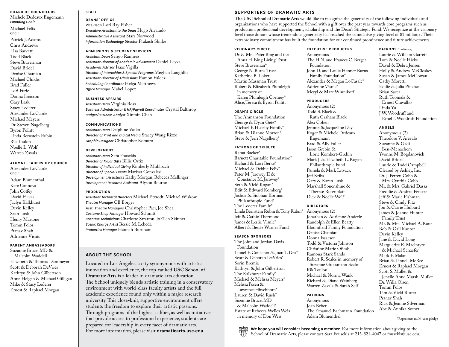#### **BOARD OF COUNCILORS**

Michele Dedeaux Engemann *Founding Chair* Michael Felix

*Chair* Patrick J. Adams Chris Andrews Lisa Barkett Todd Black Steve Braverman David Bridel Denise Chamian Michael Chiklis Brad Fuller Lori Furie Donna Isaacson Gary Lask Stacy Lederer Alexander LoCasale Michael Meyers Dr. Steven Nagelberg Byron Pollitt Linda Bernstein Rubin Rik Toulon Noelle L. Wolf Warren Zavala

#### **ALUMNI LEADERSHIP COUNCIL**

Alexander LoCasale *Chair* Adam Blumenthal Kate Cannova John Coffey David Fickas Jaclyn Kalkhurst Devin Kelley Sean Lask Henry Martone Tomm Polos Pranav Shah Adrienne Visnic

#### **PARENT AMBASSADORS**

Suzanne Bruce, MD & Malcolm Waddell Elizabeth & Thomas Dammeyer Scott & Deborah DeVries Kathryn & John Gilbertson Anne Helgen & Michael Gilligan Mike & Stacy Lederer Ernest & Raphael Morgan

#### **STAFF**

**DEANS' OFFICE** *Vice Dean* Lori Ray Fisher *Executive Assistant to the Dean* Hugo Alvarado *Administrative Assistant* Starr Norwood *Information Technology Director* Prakash Shirke

#### **ADMISSIONS & STUDENT SERVICES**

*Assistant Dean* Sergio Ramirez *Assistant Director of Academic Advisement* Daniel Leyva, *Academic Advisor* Isaac Vigilla *Director of Internships & Special Programs* Meghan Laughlin *Assistant Director of Admissions* Ramón Valdez *Scheduling Coordinator* Helga Matthews *Office Manager* Mabel Lopez

#### **BUSINESS AFFAIRS**

*Assistant Dean* Virginia Ross *Business Administrator & HR/Payroll Coordinator* Crystal Balthrop *Budget/Business Analyst* Xinmin Chen

#### **COMMUNICATIONS**

*Assistant Dean* Delphine Vasko *Director of Print and Digital Media* Stacey Wang Rizzo *Graphic Designer* Christopher Komuro

#### **DEVELOPMENT**

*Assistant Dean* Sara Fousekis *Director of Major Gifts* Billie Ortiz *Director of Individual Giving* Kimberly Muhlbach *Director of Special Events* Marissa Gonzalez *Development Assistants* Kathy Morgan, Rebecca Mellinger *Development Research Assistant* Alyson Bourne

#### **PRODUCTION**

*Assistant Technical Directors* Michael Etzrodt, Michael Wiskow *Theatre Manager* CB Borger *Asst. Theatre Managers* Christopher Paci, Joe Shea *Costume Shop Manager* Howard Schmitt *Costume Technicians* Charlotte Stratton, JoEllen Skinner *Scenic Charge Artist* Bessie M. Lebeda *Properties Manager* Hannah Burnham

#### **ABOUT THE SCHOOL**

Located in Los Angeles, a city synonymous with artistic innovation and excellence, the top-ranked **USC School of Dramatic Arts** is a leader in dramatic arts education. The School uniquely blends artistic training in a conservatory environment with world-class faculty artists and the full academic experience found only within a major research university. This close-knit, supportive environment offers students the freedom to explore their artistic passions. Through programs of the highest caliber, as well as initiatives that provide access to professional experience, students are prepared for leadership in every facet of dramatic arts. For more information, please visit **dramaticarts.usc.edu**.

#### **SUPPORTERS OF DRAMATIC ARTS**

**The USC School of Dramatic Arts** would like to recognize the generosity of the following individuals and organizations who have supported the School with a gift over the past year towards core programs such as production, professional development, scholarship and the Dean's Strategic Fund. We recognize at the visionary level those donors whose tremendous generosity has reached the cumulative giving level of \$1 million+. Their extraordinary commitment has built the foundation for our continued prominence and future achievements.

#### **VISIONARY CIRCLE**

Dr. & Mrs. Peter Bing and the Anna H. Bing Living Trust Steve Braverman\* George N. Burns Trust Katherine B. Loker Martin Massman Trust Robert & Elizabeth Plumleigh in memory of Karen Plumleigh Cortney\* Alice, Teresa & Byron Pollitt

#### **DEAN'S CIRCLE**

The Ahmanson Foundation George & Dyan Getz\* Michael P. Huseby Family\* Brian & Dianne Morton\* Steve & Jerri Nagelberg\*

#### **PATRONS OF TRIBUTE**

Rama Backer\* Barnett Charitable Foundation\* Richard & Lori Berke\* Michael & Debbie Felix\* Peter M. Jarowey II & Constance M. Jarowey\* Seth & Vicki Kogan\* Edit & Edward Komberg\* Joshua & Siobhan Korman Philanthropic Fund\* The Lederer Family\* Linda Bernstein Rubin & Tony Rubin\* Jeff & Cathie Thermond James & Leslie Visnic\* Albert & Bessie Warner Fund

#### **SEASON SPONSORS**

The John and Jordan Davis Foundation Lionel F. Conacher & Joan T. Dea\* Scott & Deborah DeVries\* Sorin Eremia Kathryn & John Gilbertson The Kalkhurst Family\* Michael & Melissa Meyers\* Melissa Posen & Lawrence Hirschhorn\* Lauren & David Rush\* Suzanne Bruce, MD & Malcolm Waddell\* Estate of Rebecca Welles Weis in memory of Don Weis

**EXECUTIVE PRODUCERS** Anonymous The H.N. and Frances C. Berger Foundation John D. and Leslie Henner Burns Family Foundation\* Alexander & Megan LoCasale\* Adrienne Visnic\* Meryl & Marc Winnikoff

#### **PRODUCERS**

Anonymous (2) Todd S. Black & Ruth Graham Black Alex Cohen Jerome & Jacqueline Day Roger & Michele Dedeaux Engemann Brad & Ally Fuller Jason Grebin & Lorie Kombert-Grebin Mark J. & Elizabeth L. Kogan Philanthropic Fund Pamela & Mark Litvack Jeff Kribs Gary & Karen Lask Marshall Sonenshine & Therese Rosenblatt Dick & Noelle Wolf

#### **DIRECTORS**

Anonymous (2) Jonathan & Adrienne Anderle Randolph & Ellen Beatty Bloomfield Family Foundation Denise Chamian Donna Isaacson Todd & Victoria Johnson Christine Marie Ofiesh Ramona Stark Sands Robert R. Scales in memory of Suzanne Grossmann Scales Rik Toulon Michael & Norma Wank Richard & Diane Weinberg Warren Zavala & Sarah Self

#### **PATRONS**

Anonymous Joan Beber The Emanuel Bachmann Foundation Adam Blumenthal

**PATRONS** *(continued)*  Laurie & William Garrett Tom & Noelle Hicks David & Debra Jensen Holly & Andrew McCloskey Susan & James McGowan Cathy Moretti Eddie & Julia Pinchasi Brian Sacca Ruth Tuomala & Ernest Cravalho Linda Yu J.W. Woodruff and Ethel I. Woodruff Foundation

#### **ANGELS**

Anonymous (2) Theodore V. Arevalo Suzanne & Gadi Ben-Menachem Yvonne M. Bogdanovich David Bridel Laurie & Todd Campbell Cleared by Ashley, Inc. Dr. J. Perren Cobb & Mrs. Cynthia Cobb Mr. & Mrs. Gabriel Dassa Freddie & Andrea Fenster Jeff & Marie Fishman Steve & Cindy Fitz Jon & Carrie Hulburd James & Joanne Hunter Family Trust Mr. & Mrs. Michael A. Kane Bob & Gail Kantor Devin Kelley Jane & David Long Marguerite E. Maclntyre & Michael Schaefer Mark F. Malan Brian & Linnell McRee Ernest & Raphael Morgan Scott S. Mullet & Jenelle Anne Marsh-Mullet Dr. Willa Olsen Tomm Polos Tim & Vicki Rutter Pranav Shah Rick & Jeanne Silverman Abe & Annika Somer

\*Represents multi-year pledge

**We hope you will consider becoming a member.** For more information about giving to the School of Dramatic Arts, please contact Sara Fousekis at 213-821-4047 or fousekis@usc.edu.